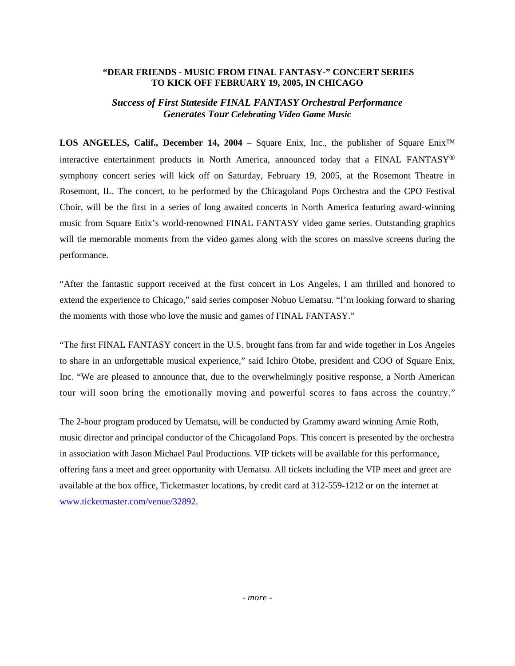## **"DEAR FRIENDS - MUSIC FROM FINAL FANTASY-" CONCERT SERIES TO KICK OFF FEBRUARY 19, 2005, IN CHICAGO**

# *Success of First Stateside FINAL FANTASY Orchestral Performance Generates Tour Celebrating Video Game Music*

**LOS ANGELES, Calif., December 14, 2004** – Square Enix, Inc., the publisher of Square Enix™ interactive entertainment products in North America, announced today that a FINAL FANTASY® symphony concert series will kick off on Saturday, February 19, 2005, at the Rosemont Theatre in Rosemont, IL. The concert, to be performed by the Chicagoland Pops Orchestra and the CPO Festival Choir, will be the first in a series of long awaited concerts in North America featuring award-winning music from Square Enix's world-renowned FINAL FANTASY video game series. Outstanding graphics will tie memorable moments from the video games along with the scores on massive screens during the performance.

"After the fantastic support received at the first concert in Los Angeles, I am thrilled and honored to extend the experience to Chicago," said series composer Nobuo Uematsu. "I'm looking forward to sharing the moments with those who love the music and games of FINAL FANTASY."

"The first FINAL FANTASY concert in the U.S. brought fans from far and wide together in Los Angeles to share in an unforgettable musical experience," said Ichiro Otobe, president and COO of Square Enix, Inc. "We are pleased to announce that, due to the overwhelmingly positive response, a North American tour will soon bring the emotionally moving and powerful scores to fans across the country."

The 2-hour program produced by Uematsu, will be conducted by Grammy award winning Arnie Roth, music director and principal conductor of the Chicagoland Pops. This concert is presented by the orchestra in association with Jason Michael Paul Productions. VIP tickets will be available for this performance, offering fans a meet and greet opportunity with Uematsu. All tickets including the VIP meet and greet are available at the box office, Ticketmaster locations, by credit card at 312-559-1212 or on the internet at [www.ticketmaster.com/venue/32892.](http://www.ticketmaster.com/venue/32892)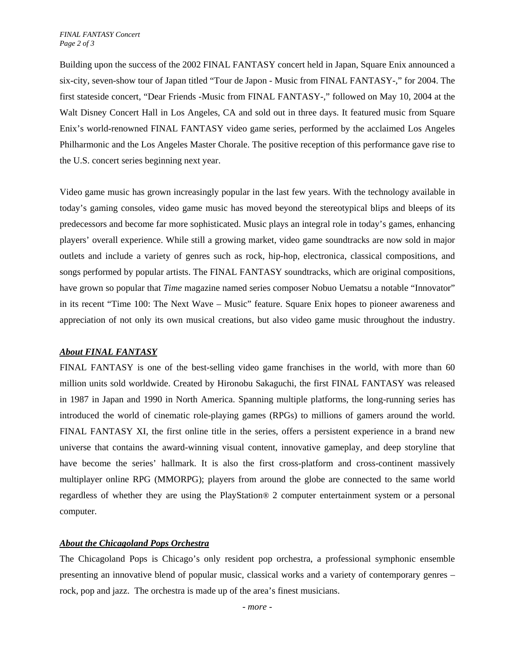Building upon the success of the 2002 FINAL FANTASY concert held in Japan, Square Enix announced a six-city, seven-show tour of Japan titled "Tour de Japon - Music from FINAL FANTASY-," for 2004. The first stateside concert, "Dear Friends -Music from FINAL FANTASY-," followed on May 10, 2004 at the Walt Disney Concert Hall in Los Angeles, CA and sold out in three days. It featured music from Square Enix's world-renowned FINAL FANTASY video game series, performed by the acclaimed Los Angeles Philharmonic and the Los Angeles Master Chorale. The positive reception of this performance gave rise to the U.S. concert series beginning next year.

Video game music has grown increasingly popular in the last few years. With the technology available in today's gaming consoles, video game music has moved beyond the stereotypical blips and bleeps of its predecessors and become far more sophisticated. Music plays an integral role in today's games, enhancing players' overall experience. While still a growing market, video game soundtracks are now sold in major outlets and include a variety of genres such as rock, hip-hop, electronica, classical compositions, and songs performed by popular artists. The FINAL FANTASY soundtracks, which are original compositions, have grown so popular that *Time* magazine named series composer Nobuo Uematsu a notable "Innovator" in its recent "Time 100: The Next Wave – Music" feature. Square Enix hopes to pioneer awareness and appreciation of not only its own musical creations, but also video game music throughout the industry.

### *About FINAL FANTASY*

FINAL FANTASY is one of the best-selling video game franchises in the world, with more than 60 million units sold worldwide. Created by Hironobu Sakaguchi, the first FINAL FANTASY was released in 1987 in Japan and 1990 in North America. Spanning multiple platforms, the long-running series has introduced the world of cinematic role-playing games (RPGs) to millions of gamers around the world. FINAL FANTASY XI, the first online title in the series, offers a persistent experience in a brand new universe that contains the award-winning visual content, innovative gameplay, and deep storyline that have become the series' hallmark. It is also the first cross-platform and cross-continent massively multiplayer online RPG (MMORPG); players from around the globe are connected to the same world regardless of whether they are using the PlayStation® 2 computer entertainment system or a personal computer.

# *About the Chicagoland Pops Orchestra*

The Chicagoland Pops is Chicago's only resident pop orchestra, a professional symphonic ensemble presenting an innovative blend of popular music, classical works and a variety of contemporary genres – rock, pop and jazz. The orchestra is made up of the area's finest musicians.